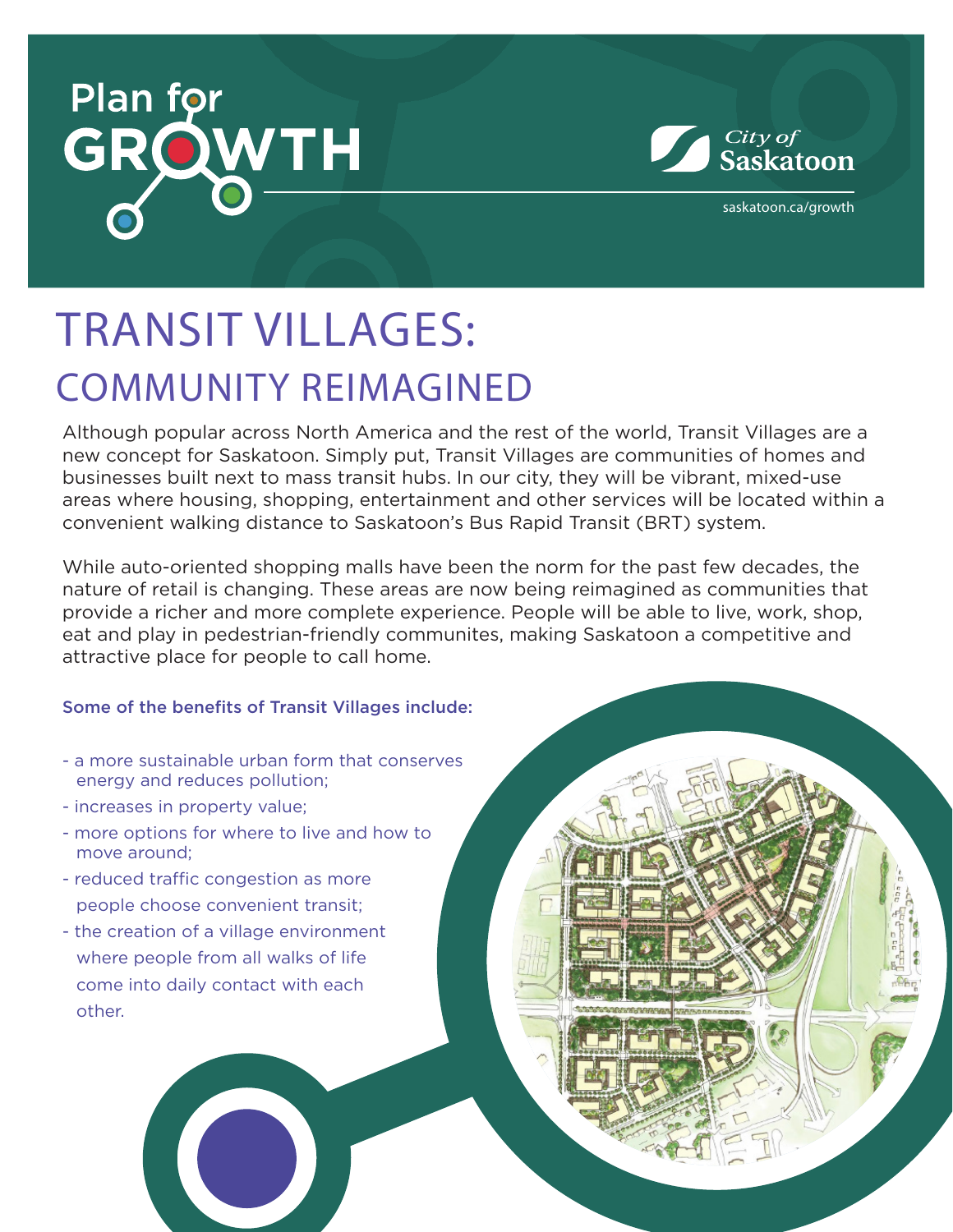



saskatoon.ca/growth

## TRANSIT VILLAGES: COMMUNITY REIMAGINED

Although popular across North America and the rest of the world, Transit Villages are a new concept for Saskatoon. Simply put, Transit Villages are communities of homes and businesses built next to mass transit hubs. In our city, they will be vibrant, mixed-use areas where housing, shopping, entertainment and other services will be located within a convenient walking distance to Saskatoon's Bus Rapid Transit (BRT) system.

While auto-oriented shopping malls have been the norm for the past few decades, the nature of retail is changing. These areas are now being reimagined as communities that provide a richer and more complete experience. People will be able to live, work, shop, eat and play in pedestrian-friendly communites, making Saskatoon a competitive and attractive place for people to call home.

#### Some of the benefits of Transit Villages include:

- a more sustainable urban form that conserves energy and reduces pollution;
- increases in property value;
- more options for where to live and how to move around;
- reduced traffic congestion as more people choose convenient transit;
- the creation of a village environment where people from all walks of life come into daily contact with each other.